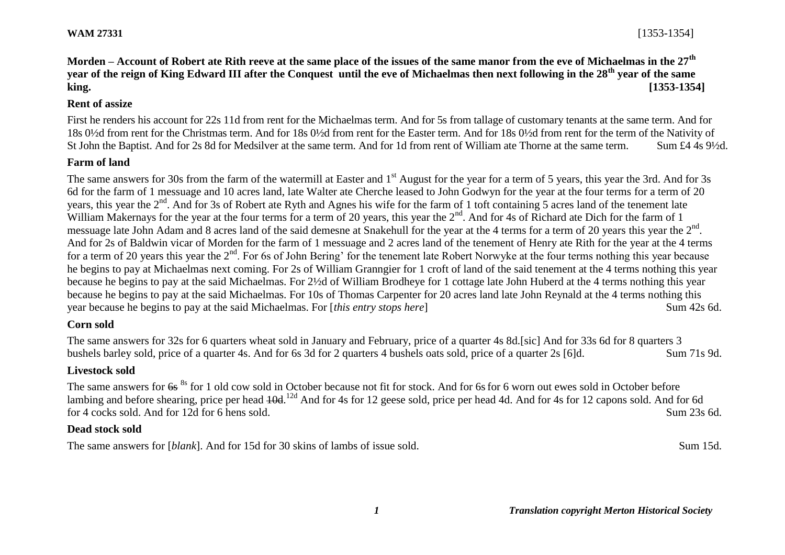**Morden – Account of Robert ate Rith reeve at the same place of the issues of the same manor from the eve of Michaelmas in the 27th year of the reign of King Edward III after the Conquest until the eve of Michaelmas then next following in the 28th year of the same king. [1353-1354]**

### **Rent of assize**

First he renders his account for 22s 11d from rent for the Michaelmas term. And for 5s from tallage of customary tenants at the same term. And for 18s 0½d from rent for the Christmas term. And for 18s 0½d from rent for the Easter term. And for 18s 0½d from rent for the term of the Nativity of St John the Baptist. And for 2s 8d for Medsilver at the same term. And for 1d from rent of William ate Thorne at the same term. Sum £4 4s 9½d.

### **Farm of land**

The same answers for 30s from the farm of the watermill at Easter and 1<sup>st</sup> August for the year for a term of 5 years, this year the 3rd. And for 3s 6d for the farm of 1 messuage and 10 acres land, late Walter ate Cherche leased to John Godwyn for the year at the four terms for a term of 20 years, this year the 2<sup>nd</sup>. And for 3s of Robert ate Ryth and Agnes his wife for the farm of 1 toft containing 5 acres land of the tenement late William Makernays for the year at the four terms for a term of 20 years, this year the  $2<sup>nd</sup>$ . And for 4s of Richard ate Dich for the farm of 1 messuage late John Adam and 8 acres land of the said demesne at Snakehull for the year at the 4 terms for a term of 20 years this year the 2<sup>nd</sup>. And for 2s of Baldwin vicar of Morden for the farm of 1 messuage and 2 acres land of the tenement of Henry ate Rith for the year at the 4 terms for a term of 20 years this year the 2<sup>nd</sup>. For 6s of John Bering' for the tenement late Robert Norwyke at the four terms nothing this year because he begins to pay at Michaelmas next coming. For 2s of William Granngier for 1 croft of land of the said tenement at the 4 terms nothing this year because he begins to pay at the said Michaelmas. For 2½d of William Brodheye for 1 cottage late John Huberd at the 4 terms nothing this year because he begins to pay at the said Michaelmas. For 10s of Thomas Carpenter for 20 acres land late John Reynald at the 4 terms nothing this year because he begins to pay at the said Michaelmas. For [*this entry stops here*] Sum 42s 6d.

### **Corn sold**

The same answers for 32s for 6 quarters wheat sold in January and February, price of a quarter 4s 8d.[sic] And for 33s 6d for 8 quarters 3 bushels barley sold, price of a quarter 4s. And for 6s 3d for 2 quarters 4 bushels oats sold, price of a quarter 2s [6]d. Sum 71s 9d.

### **Livestock sold**

The same answers for  $6s^{8s}$  for 1 old cow sold in October because not fit for stock. And for 6s for 6 worn out ewes sold in October before lambing and before shearing, price per head  $40d$ .<sup>12d</sup> And for 4s for 12 geese sold, price per head 4d. And for 4s for 12 capons sold. And for 6d for 4 cocks sold. And for 12d for 6 hens sold. Sum 23s 6d.

### **Dead stock sold**

The same answers for [*blank*]. And for 15d for 30 skins of lambs of issue sold. Sum 15d.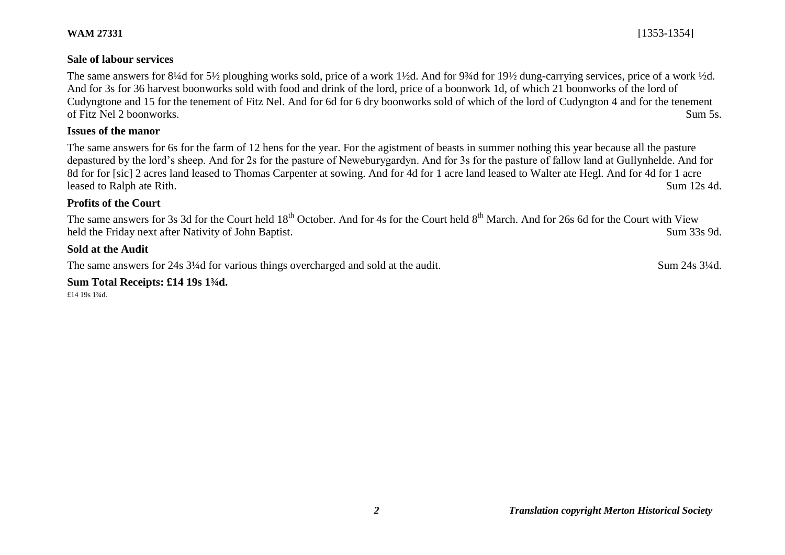### **Sale of labour services**

The same answers for 8¼d for 5½ ploughing works sold, price of a work 1½d. And for 9¼d for 19½ dung-carrying services, price of a work ½d. And for 3s for 36 harvest boonworks sold with food and drink of the lord, price of a boonwork 1d, of which 21 boonworks of the lord of Cudyngtone and 15 for the tenement of Fitz Nel. And for 6d for 6 dry boonworks sold of which of the lord of Cudyngton 4 and for the tenement of Fitz Nel 2 boonworks. Sum 5s.

### **Issues of the manor**

The same answers for 6s for the farm of 12 hens for the year. For the agistment of beasts in summer nothing this year because all the pasture depastured by the lord's sheep. And for 2s for the pasture of Neweburygardyn. And for 3s for the pasture of fallow land at Gullynhelde. And for 8d for for [sic] 2 acres land leased to Thomas Carpenter at sowing. And for 4d for 1 acre land leased to Walter ate Hegl. And for 4d for 1 acre leased to Ralph ate Rith. Sum 12s 4d.

### **Profits of the Court**

The same answers for 3s 3d for the Court held 18<sup>th</sup> October. And for 4s for the Court held 8<sup>th</sup> March. And for 26s 6d for the Court with View held the Friday next after Nativity of John Baptist. Sum 33s 9d.

### **Sold at the Audit**

The same answers for 24s 3<sup>1/4</sup>d for various things overcharged and sold at the audit. Sum 24s 3<sup>1/4d</sup>.

**Sum Total Receipts: £14 19s 1¾d.**

£14 19s 1¾d.

**WAM 27331** [1353-1354]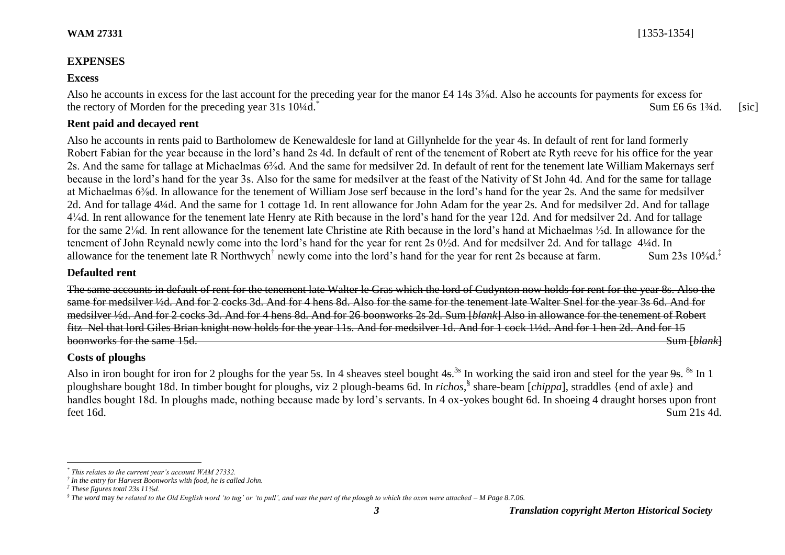# **EXPENSES**

# **Excess**

Also he accounts in excess for the last account for the preceding year for the manor £4 14s 3<sup>5</sup>/<sub>8</sub>d. Also he accounts for payments for excess for the rectory of Morden for the preceding year  $31s$   $10\frac{1}{4}d$ .<sup>\*</sup> Sum  $\pounds 6$  6s 1 $\frac{3}{4}$ d. [sic]

# **Rent paid and decayed rent**

Also he accounts in rents paid to Bartholomew de Kenewaldesle for land at Gillynhelde for the year 4s. In default of rent for land formerly Robert Fabian for the year because in the lord's hand 2s 4d. In default of rent of the tenement of Robert ate Ryth reeve for his office for the year 2s. And the same for tallage at Michaelmas 6⅜d. And the same for medsilver 2d. In default of rent for the tenement late William Makernays serf because in the lord's hand for the year 3s. Also for the same for medsilver at the feast of the Nativity of St John 4d. And for the same for tallage at Michaelmas 6⅜d. In allowance for the tenement of William Jose serf because in the lord's hand for the year 2s. And the same for medsilver 2d. And for tallage 4¼d. And the same for 1 cottage 1d. In rent allowance for John Adam for the year 2s. And for medsilver 2d. And for tallage 4¼d. In rent allowance for the tenement late Henry ate Rith because in the lord's hand for the year 12d. And for medsilver 2d. And for tallage for the same 2⅛d. In rent allowance for the tenement late Christine ate Rith because in the lord's hand at Michaelmas ½d. In allowance for the tenement of John Reynald newly come into the lord's hand for the year for rent 2s 0½d. And for medsilver 2d. And for tallage 4¼d. In allowance for the tenement late R Northwych<sup>†</sup> newly come into the lord's hand for the y allowance for the tenement late R Northwych<sup>†</sup> newly come into the lord's hand for the year for rent 2s because at farm. Sum 23s  $10\frac{1}{8}$ d.<sup>‡</sup>

### **Defaulted rent**

The same accounts in default of rent for the tenement late Walter le Gras which the lord of Cudynton now holds for rent for the year 8s. Also the same for medsilver ½d. And for 2 cocks 3d. And for 4 hens 8d. Also for the same for the tenement late Walter Snel for the year 3s 6d. And for medsilver ½d. And for 2 cocks 3d. And for 4 hens 8d. And for 26 boonworks 2s 2d. Sum [*blank*] Also in allowance for the tenement of Robert fitz Nel that lord Giles Brian knight now holds for the year 11s. And for medsilver 1d. And for 1 cock 1½d. And for 1 hen 2d. And for 15 boonworks for the same 15d. **Sum [***blank***] boonworks** for the same 15d. Sum [*blank*]

# **Costs of ploughs**

Also in iron bought for iron for 2 ploughs for the year 5s. In 4 sheaves steel bought  $4s$ .<sup>3s</sup> In working the said iron and steel for the year  $9s$ . <sup>8s</sup> In 1 ploughshare bought 18d. In timber bought for ploughs, viz 2 plough-beams 6d. In *richos*, § share-beam [*chippa*], straddles {end of axle} and handles bought 18d. In ploughs made, nothing because made by lord's servants. In 4 ox-yokes bought 6d. In shoeing 4 draught horses upon front feet 16d. Sum 21s 4d.

l *\* This relates to the current year's account WAM 27332.*

*<sup>†</sup> In the entry for Harvest Boonworks with food, he is called John.*

*<sup>‡</sup> These figures total 23s 11⅝d.*

*<sup>§</sup> The word* may *be related to the Old English word 'to tug' or 'to pull', and was the part of the plough to which the oxen were attached – M Page 8.7.06.*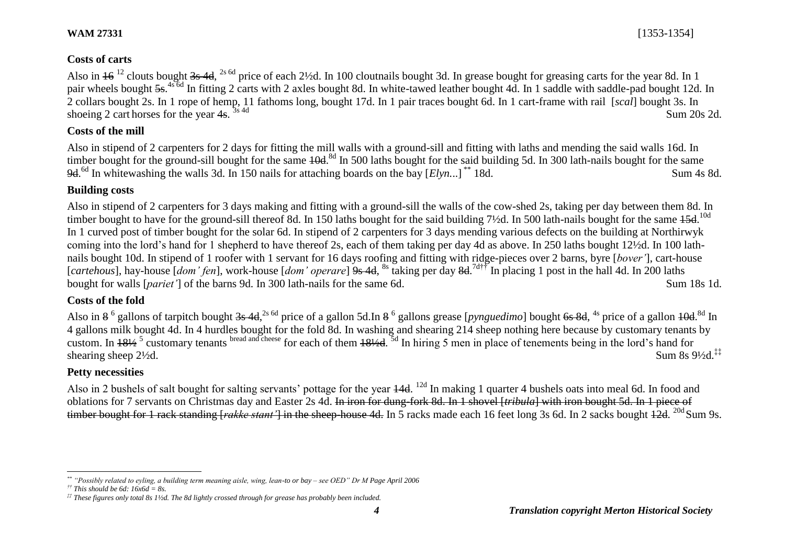# **Costs of carts**

Also in  $16^{12}$  clouts bought 3s 4d, <sup>2s 6d</sup> price of each 2½d. In 100 cloutnails bought 3d. In grease bought for greasing carts for the year 8d. In 1 pair wheels bought 5s.<sup>4s 6d</sup> In fitting 2 carts with 2 axles bought 8d. In white-tawed leather bought 4d. In 1 saddle with saddle-pad bought 12d. In 2 collars bought 2s. In 1 rope of hemp, 11 fathoms long, bought 17d. In 1 pair traces bought 6d. In 1 cart-frame with rail [*scal*] bought 3s. In shoeing 2 cart horses for the year  $4s$ .  $3s$  4d  $3s$  4d Sum 20s 2d.

# **Costs of the mill**

Also in stipend of 2 carpenters for 2 days for fitting the mill walls with a ground-sill and fitting with laths and mending the said walls 16d. In timber bought for the ground-sill bought for the same  $10d$ .<sup>8d</sup> In 500 laths bought for the said building 5d. In 300 lath-nails bought for the same 9d.<sup>6d</sup> In whitewashing the walls 3d. In 150 nails for attaching boards on the bay [*Elyn.*..]<sup>\*\*</sup> 18d. Sum 4s 8d.

# **Building costs**

Also in stipend of 2 carpenters for 3 days making and fitting with a ground-sill the walls of the cow-shed 2s, taking per day between them 8d. In timber bought to have for the ground-sill thereof 8d. In 150 laths bought for the said building 7½d. In 500 lath-nails bought for the same 45d.<sup>10d</sup> In 1 curved post of timber bought for the solar 6d. In stipend of 2 carpenters for 3 days mending various defects on the building at Northirwyk coming into the lord's hand for 1 shepherd to have thereof 2s, each of them taking per day 4d as above. In 250 laths bought 12½d. In 100 lathnails bought 10d. In stipend of 1 roofer with 1 servant for 16 days roofing and fitting with ridge-pieces over 2 barns, byre [*bover'*], cart-house [*cartehous*], hay-house [*dom' fen*], work-house [*dom' operare*] 9s 4d, <sup>8s</sup> taking per day 8d.<sup>7d††</sup> In placing 1 post in the hall 4d. In 200 laths bought for walls [*pariet'*] of the barns 9d. In 300 lath-nails for the same 6d. Sum 18s 1d.

# **Costs of the fold**

Also in 8<sup>6</sup> gallons of tarpitch bought <del>3s 4d</del>,<sup>2s 6d</sup> price of a gallon 5d.In 8<sup>6</sup> gallons grease [*pynguedimo*] bought <del>6s 8d</del>, <sup>4s</sup> price of a gallon <del>10d</del>.<sup>8d</sup> In 4 gallons milk bought 4d. In 4 hurdles bought for the fold 8d. In washing and shearing 214 sheep nothing here because by customary tenants by custom. In  $18\frac{1}{2}$ <sup>5</sup> customary tenants bread and cheese for each of them  $18\frac{1}{2}$ d.  $5d$  In hiring 5 men in place of tenements being in the lord's hand for shearing sheep  $2\frac{1}{2}d$ . Sum 8s  $9\frac{1}{2}d$ .<sup>‡‡</sup>

# **Petty necessities**

Also in 2 bushels of salt bought for salting servants' pottage for the year 44d. <sup>12d</sup> In making 1 quarter 4 bushels oats into meal 6d. In food and oblations for 7 servants on Christmas day and Easter 2s 4d. In iron for dung-fork 8d. In 1 shovel [*tribula*] with iron bought 5d. In 1 piece of timber bought for 1 rack standing [*rakke stant* ] in the sheep-house 4d. In 5 racks made each 16 feet long 3s 6d. In 2 sacks bought  $\frac{12d}{12d}$ . <sup>20d</sup> Sum 9s.

 $\overline{a}$ *\*\* "Possibly related to eyling, a building term meaning aisle, wing, lean-to or bay – see OED" Dr M Page April 2006*

*<sup>††</sup> This should be 6d: 16x6d = 8s.*

*<sup>‡‡</sup> These figures only total 8s 1½d. The 8d lightly crossed through for grease has probably been included.*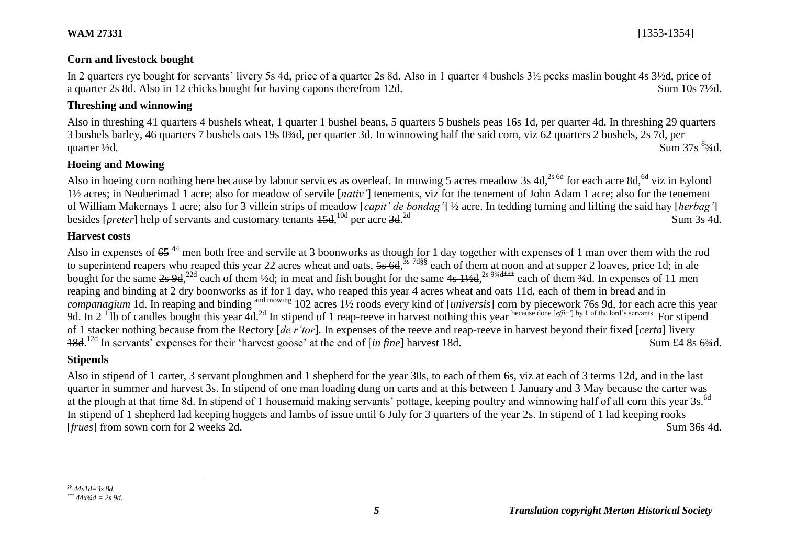# **Corn and livestock bought**

In 2 quarters rye bought for servants' livery 5s 4d, price of a quarter 2s 8d. Also in 1 quarter 4 bushels 3½ pecks maslin bought 4s 3½d, price of a quarter 2s 8d. Also in 12 chicks bought for having capons therefrom 12d. Sum 10s 7½d.

# **Threshing and winnowing**

Also in threshing 41 quarters 4 bushels wheat, 1 quarter 1 bushel beans, 5 quarters 5 bushels peas 16s 1d, per quarter 4d. In threshing 29 quarters 3 bushels barley, 46 quarters 7 bushels oats 19s 0¾d, per quarter 3d. In winnowing half the said corn, viz 62 quarters 2 bushels, 2s 7d, per Sum 37s  $\frac{83}{4}$ d quarter  $\frac{1}{2}$ d. Sum 37s  $\frac{83}{4}$ d.

# **Hoeing and Mowing**

Also in hoeing corn nothing here because by labour services as overleaf. In mowing 5 acres meadow 3s 4d, <sup>2s 6d</sup> for each acre 8d, <sup>6d</sup> viz in Eylond 1½ acres; in Neuberimad 1 acre; also for meadow of servile [*nativ'*] tenements, viz for the tenement of John Adam 1 acre; also for the tenement of William Makernays 1 acre; also for 3 villein strips of meadow [*capit' de bondag'*] ½ acre. In tedding turning and lifting the said hay [*herbag'*] besides [*preter*] help of servants and customary tenants  $15d$ , <sup>10d</sup> per acre 3d. Sum 3s 4d.

### **Harvest costs**

Also in expenses of  $65<sup>44</sup>$  men both free and servile at 3 boonworks as though for 1 day together with expenses of 1 man over them with the rod to superintend reapers who reaped this year 22 acres wheat and oats, 5s 6d, <sup>3s 7d§§</sup> each of them at noon and at supper 2 loaves, price 1d; in ale bought for the same  $2s$  9d,<sup>22d</sup> each of them ½d; in meat and fish bought for the same  $4s$  1½d,<sup>2s 9¾d\*\*\*</sup> each of them  $4d$ . In expenses of 11 men reaping and binding at 2 dry boonworks as if for 1 day, who reaped this year 4 acres wheat and oats 11d, each of them in bread and in *companagium* 1d. In reaping and binding and mowing 102 acres 1½ roods every kind of [*universis*] corn by piecework 76s 9d, for each acre this year 9d. In  $2^1$  lb of candles bought this year  $4d^{2d}$  In stipend of 1 reap-reeve in harvest nothing this year because done [*effic*'] by 1 of the lord's servants. For stipend of 1 stacker nothing because from the Rectory [*de r'tor*]. In expenses of the reeve and reap-reeve in harvest beyond their fixed [*certa*] livery 18d.<sup>12d</sup> In servants' expenses for their 'harvest goose' at the end of [*in fine*] harvest 18d. Sum £4 8s 6<sup>3</sup>/4d.

### **Stipends**

Also in stipend of 1 carter, 3 servant ploughmen and 1 shepherd for the year 30s, to each of them 6s, viz at each of 3 terms 12d, and in the last quarter in summer and harvest 3s. In stipend of one man loading dung on carts and at this between 1 January and 3 May because the carter was at the plough at that time 8d. In stipend of 1 housemaid making servants' pottage, keeping poultry and winnowing half of all corn this year 3s.<sup>6d</sup> In stipend of 1 shepherd lad keeping hoggets and lambs of issue until 6 July for 3 quarters of the year 2s. In stipend of 1 lad keeping rooks [*frues*] from sown corn for 2 weeks 2d. Sum 36s 4d.

l *§§ 44x1d=3s 8d.*

*<sup>\*\*\*</sup> 44x¾d = 2s 9d.*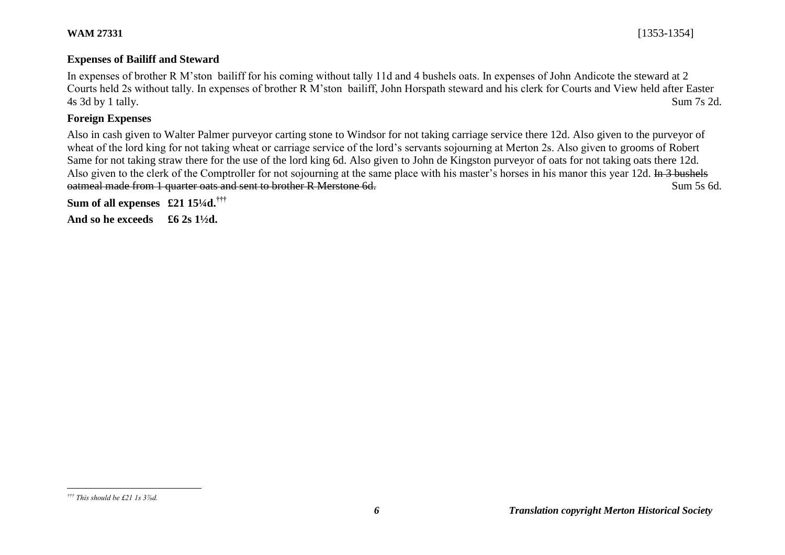### **Expenses of Bailiff and Steward**

In expenses of brother R M'ston bailiff for his coming without tally 11d and 4 bushels oats. In expenses of John Andicote the steward at 2 Courts held 2s without tally. In expenses of brother R M'ston bailiff, John Horspath steward and his clerk for Courts and View held after Easter 4s 3d by 1 tally. Sum 7s 2d.

# **Foreign Expenses**

Also in cash given to Walter Palmer purveyor carting stone to Windsor for not taking carriage service there 12d. Also given to the purveyor of wheat of the lord king for not taking wheat or carriage service of the lord's servants sojourning at Merton 2s. Also given to grooms of Robert Same for not taking straw there for the use of the lord king 6d. Also given to John de Kingston purveyor of oats for not taking oats there 12d. Also given to the clerk of the Comptroller for not sojourning at the same place with his master's horses in his manor this year 12d. In 3 bushels oatmeal made from 1 quarter oats and sent to brother R Merstone 6d. Sum 5s 6d.

**Sum of all expenses £21 15¼d.†††**

**And so he exceeds £6 2s 1½d.** 

 $\overline{a}$ 

*<sup>†††</sup> This should be £21 1s 3⅞d.*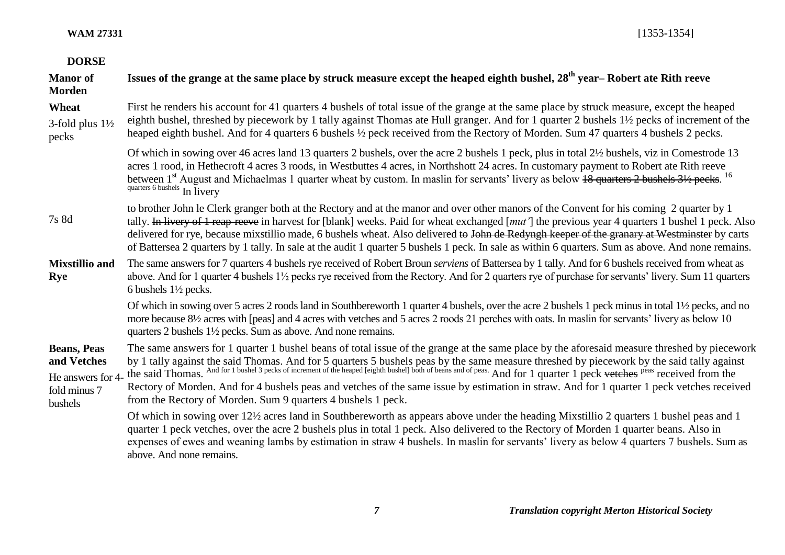**WAM 27331** [1353-1354]

| <b>DORSE</b>                                                                      |                                                                                                                                                                                                                                                                                                                                                                                                                                                                                                                                                                                                     |
|-----------------------------------------------------------------------------------|-----------------------------------------------------------------------------------------------------------------------------------------------------------------------------------------------------------------------------------------------------------------------------------------------------------------------------------------------------------------------------------------------------------------------------------------------------------------------------------------------------------------------------------------------------------------------------------------------------|
| <b>Manor</b> of<br><b>Morden</b>                                                  | Issues of the grange at the same place by struck measure except the heaped eighth bushel, 28 <sup>th</sup> year– Robert ate Rith reeve                                                                                                                                                                                                                                                                                                                                                                                                                                                              |
| Wheat<br>3-fold plus $1\frac{1}{2}$<br>pecks                                      | First he renders his account for 41 quarters 4 bushels of total issue of the grange at the same place by struck measure, except the heaped<br>eighth bushel, threshed by piecework by 1 tally against Thomas ate Hull granger. And for 1 quarter 2 bushels 1 <sup>1</sup> / <sub>2</sub> pecks of increment of the<br>heaped eighth bushel. And for 4 quarters 6 bushels 1/2 peck received from the Rectory of Morden. Sum 47 quarters 4 bushels 2 pecks.                                                                                                                                           |
|                                                                                   | Of which in sowing over 46 acres land 13 quarters 2 bushels, over the acre 2 bushels 1 peck, plus in total 2½ bushels, viz in Comestrode 13<br>acres 1 rood, in Hethecroft 4 acres 3 roods, in Westbuttes 4 acres, in Northshott 24 acres. In customary payment to Robert ate Rith reeve<br>between 1 <sup>st</sup> August and Michaelmas 1 quarter wheat by custom. In maslin for servants' livery as below 18 quarters 2 bushels 31/2 pecks. <sup>16</sup><br>quarters 6 bushels In livery                                                                                                        |
| 7s 8d                                                                             | to brother John le Clerk granger both at the Rectory and at the manor and over other manors of the Convent for his coming 2 quarter by 1<br>tally. In livery of 1 reap-reeve in harvest for [blank] weeks. Paid for wheat exchanged [mut'] the previous year 4 quarters 1 bushel 1 peck. Also<br>delivered for rye, because mixstillio made, 6 bushels wheat. Also delivered to John de Redyngh keeper of the granary at Westminster by carts<br>of Battersea 2 quarters by 1 tally. In sale at the audit 1 quarter 5 bushels 1 peck. In sale as within 6 quarters. Sum as above. And none remains. |
| <b>Mixstillio and</b><br>Rye                                                      | The same answers for 7 quarters 4 bushels rye received of Robert Broun serviens of Battersea by 1 tally. And for 6 bushels received from wheat as<br>above. And for 1 quarter 4 bushels 1 <sup>1</sup> / <sub>2</sub> pecks rye received from the Rectory. And for 2 quarters rye of purchase for servants' livery. Sum 11 quarters<br>6 bushels $1\frac{1}{2}$ pecks.                                                                                                                                                                                                                              |
|                                                                                   | Of which in sowing over 5 acres 2 roods land in Southbereworth 1 quarter 4 bushels, over the acre 2 bushels 1 peck minus in total 1 <sup>1</sup> / <sub>2</sub> pecks, and no<br>more because 8 <sup>1</sup> / <sub>2</sub> acres with [peas] and 4 acres with vetches and 5 acres 2 roods 21 perches with oats. In maslin for servants' livery as below 10<br>quarters 2 bushels 1½ pecks. Sum as above. And none remains.                                                                                                                                                                         |
| <b>Beans, Peas</b><br>and Vetches<br>He answers for 4-<br>fold minus 7<br>bushels | The same answers for 1 quarter 1 bushel beans of total issue of the grange at the same place by the aforesaid measure threshed by piecework<br>by 1 tally against the said Thomas. And for 5 quarters 5 bushels peas by the same measure threshed by piecework by the said tally against the said tally against the said Thomas. And for 1 bushel 3 pecks of increment of the<br>Rectory of Morden. And for 4 bushels peas and vetches of the same issue by estimation in straw. And for 1 quarter 1 peck vetches received<br>from the Rectory of Morden. Sum 9 quarters 4 bushels 1 peck.          |
|                                                                                   | Of which in sowing over 12½ acres land in Southbereworth as appears above under the heading Mixstillio 2 quarters 1 bushel peas and 1<br>quarter 1 peck vetches, over the acre 2 bushels plus in total 1 peck. Also delivered to the Rectory of Morden 1 quarter beans. Also in<br>expenses of ewes and weaning lambs by estimation in straw 4 bushels. In maslin for servants' livery as below 4 quarters 7 bushels. Sum as<br>above. And none remains.                                                                                                                                            |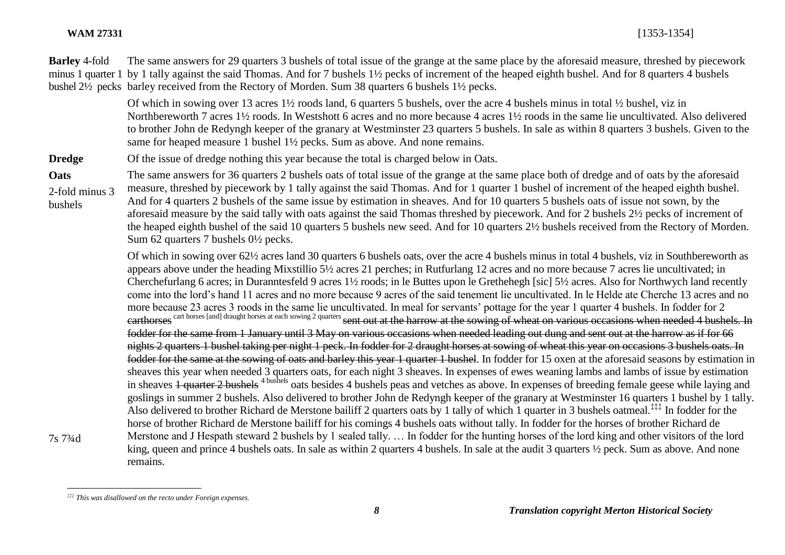**Barley** 4-fold minus 1 quarter 1 by 1 tally against the said Thomas. And for 7 bushels 1½ pecks of increment of the heaped eighth bushel. And for 8 quarters 4 bushels bushel 2½ pecks barley received from the Rectory of Morden. Sum 38 quarters 6 bushels 1½ pecks. The same answers for 29 quarters 3 bushels of total issue of the grange at the same place by the aforesaid measure, threshed by piecework

> Of which in sowing over 13 acres 1½ roods land, 6 quarters 5 bushels, over the acre 4 bushels minus in total ½ bushel, viz in Northbereworth 7 acres 1½ roods. In Westshott 6 acres and no more because 4 acres 1½ roods in the same lie uncultivated. Also delivered to brother John de Redyngh keeper of the granary at Westminster 23 quarters 5 bushels. In sale as within 8 quarters 3 bushels. Given to the same for heaped measure 1 bushel 1½ pecks. Sum as above. And none remains.

**Dredge** Of the issue of dredge nothing this year because the total is charged below in Oats.

**Oats** 2-fold minus 3 bushels The same answers for 36 quarters 2 bushels oats of total issue of the grange at the same place both of dredge and of oats by the aforesaid measure, threshed by piecework by 1 tally against the said Thomas. And for 1 quarter 1 bushel of increment of the heaped eighth bushel. And for 4 quarters 2 bushels of the same issue by estimation in sheaves. And for 10 quarters 5 bushels oats of issue not sown, by the aforesaid measure by the said tally with oats against the said Thomas threshed by piecework. And for 2 bushels 2½ pecks of increment of the heaped eighth bushel of the said 10 quarters 5 bushels new seed. And for 10 quarters 2½ bushels received from the Rectory of Morden. Sum 62 quarters 7 bushels 0½ pecks.

> Of which in sowing over 62½ acres land 30 quarters 6 bushels oats, over the acre 4 bushels minus in total 4 bushels, viz in Southbereworth as appears above under the heading Mixstillio 5½ acres 21 perches; in Rutfurlang 12 acres and no more because 7 acres lie uncultivated; in Cherchefurlang 6 acres; in Duranntesfeld 9 acres 1½ roods; in le Buttes upon le Grethehegh [sic] 5½ acres. Also for Northwych land recently come into the lord's hand 11 acres and no more because 9 acres of the said tenement lie uncultivated. In le Helde ate Cherche 13 acres and no more because 23 acres 3 roods in the same lie uncultivated. In meal for servants' pottage for the year 1 quarter 4 bushels. In fodder for 2 carthorses cart horses [and] draught horses at each sowing 2 quarters sent out at the harrow at the sowing of wheat on various occasions when needed 4 bushels. In fodder for the same from 1 January until 3 May on various occasions when needed leading out dung and sent out at the harrow as if for 66 nights 2 quarters 1 bushel taking per night 1 peck. In fodder for 2 draught horses at sowing of wheat this year on occasions 3 bushels oats. In fodder for the same at the sowing of oats and barley this year 1 quarter 1 bushel. In fodder for 15 oxen at the aforesaid seasons by estimation in sheaves this year when needed 3 quarters oats, for each night 3 sheaves. In expenses of ewes weaning lambs and lambs of issue by estimation in sheaves 1 quarter 2 bushels <sup>4 bushels</sup> oats besides 4 bushels peas and vetches as above. In expenses of breeding female geese while laying and goslings in summer 2 bushels. Also delivered to brother John de Redyngh keeper of the granary at Westminster 16 quarters 1 bushel by 1 tally. Also delivered to brother Richard de Merstone bailiff 2 quarters oats by 1 tally of which 1 quarter in 3 bushels oatmeal.<sup>‡‡‡</sup> In fodder for the horse of brother Richard de Merstone bailiff for his comings 4 bushels oats without tally. In fodder for the horses of brother Richard de Merstone and J Hespath steward 2 bushels by 1 sealed tally. … In fodder for the hunting horses of the lord king and other visitors of the lord king, queen and prince 4 bushels oats. In sale as within 2 quarters 4 bushels. In sale at the audit 3 quarters  $\frac{1}{2}$  peck. Sum as above. And none remains.

7s 7¾d

 $\overline{a}$ *‡‡‡ This was disallowed on the recto under Foreign expenses.*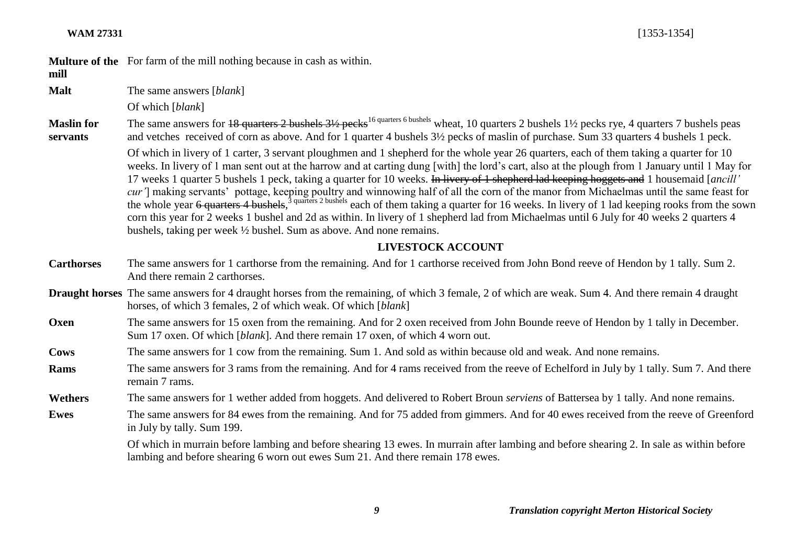**WAM 27331** [1353-1354]

**Multure of the**  For farm of the mill nothing because in cash as within.

# **mill**

**Malt** The same answers [*blank*]

Of which [*blank*]

**Maslin for servants** The same answers for 18 quarters 2 bushels  $3\frac{1}{2}$  pecks<sup>16 quarters 6 bushels</sup> wheat, 10 quarters 2 bushels 1<sup>1</sup>/<sub>2</sub> pecks rye, 4 quarters 7 bushels peas and vetches received of corn as above. And for 1 quarter 4 bushels 3½ pecks of maslin of purchase. Sum 33 quarters 4 bushels 1 peck.

Of which in livery of 1 carter, 3 servant ploughmen and 1 shepherd for the whole year 26 quarters, each of them taking a quarter for 10 weeks. In livery of 1 man sent out at the harrow and at carting dung [with] the lord's cart, also at the plough from 1 January until 1 May for 17 weeks 1 quarter 5 bushels 1 peck, taking a quarter for 10 weeks. In livery of 1 shepherd lad keeping hoggets and 1 housemaid [*ancill' cur'*] making servants' pottage, keeping poultry and winnowing half of all the corn of the manor from Michaelmas until the same feast for the whole year 6 quarters 4 bushels,<sup>3 quarters 2 bushels</sup> each of them taking a quarter for 16 weeks. In livery of 1 lad keeping rooks from the sown corn this year for 2 weeks 1 bushel and 2d as within. In livery of 1 shepherd lad from Michaelmas until 6 July for 40 weeks 2 quarters 4 bushels, taking per week ½ bushel. Sum as above. And none remains.

# **LIVESTOCK ACCOUNT**

- **Carthorses** The same answers for 1 carthorse from the remaining. And for 1 carthorse received from John Bond reeve of Hendon by 1 tally. Sum 2. And there remain 2 carthorses.
- **Draught horses** The same answers for 4 draught horses from the remaining, of which 3 female, 2 of which are weak. Sum 4. And there remain 4 draught horses, of which 3 females, 2 of which weak. Of which [*blank*]
- **Oxen** The same answers for 15 oxen from the remaining. And for 2 oxen received from John Bounde reeve of Hendon by 1 tally in December. Sum 17 oxen. Of which [*blank*]. And there remain 17 oxen, of which 4 worn out.

**Cows** The same answers for 1 cow from the remaining. Sum 1. And sold as within because old and weak. And none remains.

**Rams** The same answers for 3 rams from the remaining. And for 4 rams received from the reeve of Echelford in July by 1 tally. Sum 7. And there remain 7 rams.

**Wethers** The same answers for 1 wether added from hoggets. And delivered to Robert Broun *serviens* of Battersea by 1 tally. And none remains.

**Ewes** The same answers for 84 ewes from the remaining. And for 75 added from gimmers. And for 40 ewes received from the reeve of Greenford in July by tally. Sum 199.

> Of which in murrain before lambing and before shearing 13 ewes. In murrain after lambing and before shearing 2. In sale as within before lambing and before shearing 6 worn out ewes Sum 21. And there remain 178 ewes.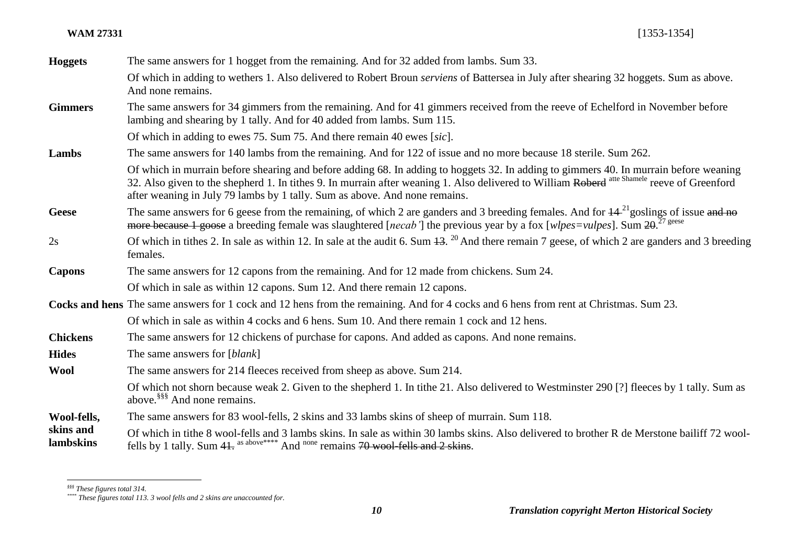### **WAM 27331** [1353-1354]

| <b>Hoggets</b>         | The same answers for 1 hogget from the remaining. And for 32 added from lambs. Sum 33.                                                                                                                                                                                                                                                                             |
|------------------------|--------------------------------------------------------------------------------------------------------------------------------------------------------------------------------------------------------------------------------------------------------------------------------------------------------------------------------------------------------------------|
|                        | Of which in adding to wethers 1. Also delivered to Robert Broun <i>serviens</i> of Battersea in July after shearing 32 hoggets. Sum as above.<br>And none remains.                                                                                                                                                                                                 |
| <b>Gimmers</b>         | The same answers for 34 gimmers from the remaining. And for 41 gimmers received from the reeve of Echelford in November before<br>lambing and shearing by 1 tally. And for 40 added from lambs. Sum 115.                                                                                                                                                           |
|                        | Of which in adding to ewes 75. Sum 75. And there remain 40 ewes [sic].                                                                                                                                                                                                                                                                                             |
| Lambs                  | The same answers for 140 lambs from the remaining. And for 122 of issue and no more because 18 sterile. Sum 262.                                                                                                                                                                                                                                                   |
|                        | Of which in murrain before shearing and before adding 68. In adding to hoggets 32. In adding to gimmers 40. In murrain before weaning<br>32. Also given to the shepherd 1. In tithes 9. In murrain after weaning 1. Also delivered to William Roberd atte Shamele reeve of Greenford<br>after weaning in July 79 lambs by 1 tally. Sum as above. And none remains. |
| <b>Geese</b>           | The same answers for 6 geese from the remaining, of which 2 are ganders and 3 breeding females. And for $44^{21}$ goslings of issue and no<br>more because 1 goose a breeding female was slaughtered [necab'] the previous year by a fox [wlpes=vulpes]. Sum 20. <sup>27 geese</sup>                                                                               |
| 2s                     | Of which in tithes 2. In sale as within 12. In sale at the audit 6. Sum $13.^{20}$ And there remain 7 geese, of which 2 are ganders and 3 breeding<br>females.                                                                                                                                                                                                     |
| <b>Capons</b>          | The same answers for 12 capons from the remaining. And for 12 made from chickens. Sum 24.                                                                                                                                                                                                                                                                          |
|                        | Of which in sale as within 12 capons. Sum 12. And there remain 12 capons.                                                                                                                                                                                                                                                                                          |
|                        | Cocks and hens The same answers for 1 cock and 12 hens from the remaining. And for 4 cocks and 6 hens from rent at Christmas. Sum 23.                                                                                                                                                                                                                              |
|                        | Of which in sale as within 4 cocks and 6 hens. Sum 10. And there remain 1 cock and 12 hens.                                                                                                                                                                                                                                                                        |
| <b>Chickens</b>        | The same answers for 12 chickens of purchase for capons. And added as capons. And none remains.                                                                                                                                                                                                                                                                    |
| <b>Hides</b>           | The same answers for [ <i>blank</i> ]                                                                                                                                                                                                                                                                                                                              |
| <b>Wool</b>            | The same answers for 214 fleeces received from sheep as above. Sum 214.                                                                                                                                                                                                                                                                                            |
|                        | Of which not shorn because weak 2. Given to the shepherd 1. In tithe 21. Also delivered to Westminster 290 [?] fleeces by 1 tally. Sum as<br>above. <sup>§§§</sup> And none remains.                                                                                                                                                                               |
| Wool-fells,            | The same answers for 83 wool-fells, 2 skins and 33 lambs skins of sheep of murrain. Sum 118.                                                                                                                                                                                                                                                                       |
| skins and<br>lambskins | Of which in tithe 8 wool-fells and 3 lambs skins. In sale as within 30 lambs skins. Also delivered to brother R de Merstone bailiff 72 wool-<br>fells by 1 tally. Sum 41. as above**** And none remains 70 wool fells and 2 skins.                                                                                                                                 |

l

*<sup>§§§</sup> These figures total 314.*

*<sup>\*\*\*\*</sup> These figures total 113. 3 wool fells and 2 skins are unaccounted for.*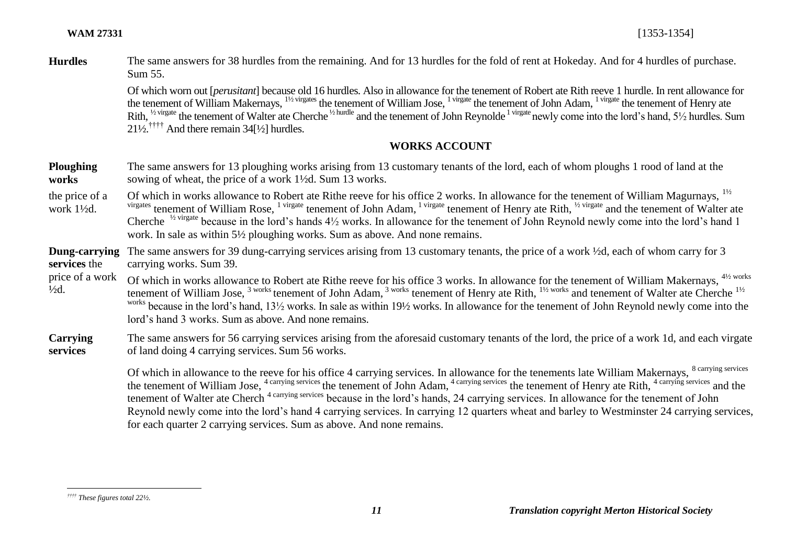**Hurdles** The same answers for 38 hurdles from the remaining. And for 13 hurdles for the fold of rent at Hokeday. And for 4 hurdles of purchase. Sum 55.

> Of which worn out [*perusitant*] because old 16 hurdles. Also in allowance for the tenement of Robert ate Rith reeve 1 hurdle. In rent allowance for the tenement of William Makernays, <sup>11/2 virgates</sup> the tenement of William Jose, <sup>1 virgate</sup> the tenement of John Adam, <sup>1 virgate</sup> the tenement of Henry ate Rith, <sup>1/2 virgate</sup> the tenement of Walter ate Cherche <sup>1/2 hurdle</sup> and the tenement of John Reynolde<sup>1</sup> virgate newly come into the lord's hand, 5<sup>1</sup>/2 hurdles. Sum  $21\frac{1}{2}$ <sup>††††</sup> And there remain 34<sup>[1</sup>/<sub>2</sub>] hurdles.

### **WORKS ACCOUNT**

| <b>Ploughing</b> | The same answers for 13 ploughing works arising from 13 customary tenants of the lord, each of whom ploughs 1 rood of land at the |
|------------------|-----------------------------------------------------------------------------------------------------------------------------------|
| works            | sowing of wheat, the price of a work 1 <sup>1</sup> / <sub>2</sub> d. Sum 13 works.                                               |

the price of a work 1½d. Of which in works allowance to Robert ate Rithe reeve for his office 2 works. In allowance for the tenement of William Magurnays. <sup>11/2</sup> virgates tenement of William Rose, <sup>1 virgate</sup> tenement of John Adam, <sup>1 virgate</sup> tenement of Henry ate Rith, <sup>1/2</sup> virgate and the tenement of Walter ate Cherche <sup> $\frac{1}{2}$  virgate because in the lord's hands  $4\frac{1}{2}$  works. In allowance for the tenement of John Reynold newly come into the lord's hand 1</sup> work. In sale as within 5½ ploughing works. Sum as above. And none remains.

**Dung-carrying**  The same answers for 39 dung-carrying services arising from 13 customary tenants, the price of a work ½d, each of whom carry for 3 **services** the carrying works. Sum 39.

price of a work  $\frac{1}{2}d$ . Of which in works allowance to Robert ate Rithe reeve for his office 3 works. In allowance for the tenement of William Makernays, <sup>41/2 works</sup> tenement of William Jose, <sup>3 works</sup> tenement of John Adam, <sup>3 works</sup> tenement of Henry ate Rith, <sup>11/2 works</sup> and tenement of Walter ate Cherche <sup>11/2</sup> works because in the lord's hand, 13<sup>1</sup>/<sub>2</sub> works. In sale as within 19<sup>1</sup>/<sub>2</sub> works. In allowance for the tenement of John Reynold newly come into the lord's hand 3 works. Sum as above. And none remains.

### **Carrying services**  The same answers for 56 carrying services arising from the aforesaid customary tenants of the lord, the price of a work 1d, and each virgate of land doing 4 carrying services. Sum 56 works.

the tenement of William Jose, <sup>4 carrying services</sup> the tenement of John Adam, <sup>4 carrying services</sup> the tenement of Henry ate Rith, <sup>4 carrying services</sup> and the Of which in allowance to the reeve for his office 4 carrying services. In allowance for the tenements late William Makernays, <sup>8 carrying services</sup> tenement of Walter ate Cherch<sup>4 carrying services</sup> because in the lord's hands, 24 carrying services. In allowance for the tenement of John Reynold newly come into the lord's hand 4 carrying services. In carrying 12 quarters wheat and barley to Westminster 24 carrying services, for each quarter 2 carrying services. Sum as above. And none remains.

 $\overline{a}$ *†††† These figures total 22½.*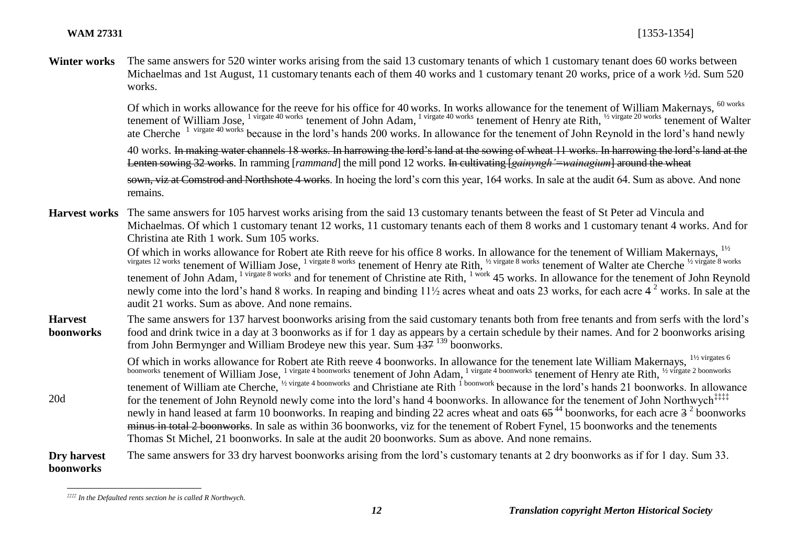20d

Winter works The same answers for 520 winter works arising from the said 13 customary tenants of which 1 customary tenant does 60 works between Michaelmas and 1st August, 11 customary tenants each of them 40 works and 1 customary tenant 20 works, price of a work  $\frac{1}{2}d$ . Sum 520 works.

> Of which in works allowance for the reeve for his office for 40 works. In works allowance for the tenement of William Makernays, <sup>60 works</sup> tenement of William Jose, <sup>1 virgate 40 works</sup> tenement of John Adam, <sup>1 virgate 40 works</sup> tenement of Henry ate Rith, <sup>1/2</sup> virgate 20 works tenement of Walter ate Cherche<sup>1</sup> virgate 40 works because in the lord's hands 200 works. In allowance for the tenement of John Reynold in the lord's hand newly

> 40 works. In making water channels 18 works. In harrowing the lord's land at the sowing of wheat 11 works. In harrowing the lord's land at the Lenten sowing 32 works. In ramming [*rammand*] the mill pond 12 works. In cultivating *[gainyngh'=wainagium*] around the wheat

> sown, viz at Comstrod and Northshote 4 works. In hoeing the lord's corn this year, 164 works. In sale at the audit 64. Sum as above. And none remains.

**Harvest works** The same answers for 105 harvest works arising from the said 13 customary tenants between the feast of St Peter ad Vincula and Michaelmas. Of which 1 customary tenant 12 works, 11 customary tenants each of them 8 works and 1 customary tenant 4 works. And for Christina ate Rith 1 work. Sum 105 works.

> Of which in works allowance for Robert ate Rith reeve for his office 8 works. In allowance for the tenement of William Makernays, <sup>11/2</sup> virgates 12 works tenement of William Jose, <sup>1 virgate 8 works</sup> tenement of Henry ate Rith, <sup>1/2 virgate 8 works</sup> tenement of Walter ate Cherche <sup>1/2 virgate 8 works</sup> tenement of John Adam, <sup>1 virgate 8 works</sup> and for tenement of Christine ate Rith, <sup>1 work</sup> 45 works. In allowance for the tenement of John Reynold newly come into the lord's hand 8 works. In reaping and binding  $11\frac{1}{2}$  acres wheat and oats 23 works, for each acre 4<sup>2</sup> works. In sale at the audit 21 works. Sum as above. And none remains.

 $\frac{3}{2}$ **Harvest boonworks**  The same answers for 137 harvest boonworks arising from the said customary tenants both from free tenants and from serfs with the lord's food and drink twice in a day at 3 boonworks as if for 1 day as appears by a certain schedule by their names. And for 2 boonworks arising from John Bermynger and William Brodeye new this year. Sum 137 <sup>139</sup> boonworks.

Of which in works allowance for Robert ate Rith reeve 4 boonworks. In allowance for the tenement late William Makernays, <sup>11/2 virgates 6</sup> boonworks tenement of William Jose, <sup>1 virgate 4 boonworks</sup> tenement of John Adam, <sup>1 virgate 4 boonworks</sup> tenement of Henry ate Rith, <sup>1/2 virgate 2 boonworks</sup> tenement of William ate Cherche, <sup>1/2</sup> virgate 4 boonworks and Christiane ate Rith <sup>1 boonwork</sup> because in the lord's hands 21 boonworks. In allowance for the tenement of John Reynold newly come into the lord's hand 4 boonworks. In allowance for the tenement of John Northwych<sup>‡‡‡‡</sup> newly in hand leased at farm 10 boonworks. In reaping and binding 22 acres wheat and oats  $65^{44}$  boonworks, for each acre  $3^{2}$  boonworks minus in total 2 boonworks. In sale as within 36 boonworks, viz for the tenement of Robert Fynel, 15 boonworks and the tenements Thomas St Michel, 21 boonworks. In sale at the audit 20 boonworks. Sum as above. And none remains.

### **Dry harvest boonworks** The same answers for 33 dry harvest boonworks arising from the lord's customary tenants at 2 dry boonworks as if for 1 day. Sum 33.

 $\overline{a}$ *‡‡‡‡ In the Defaulted rents section he is called R Northwych.*